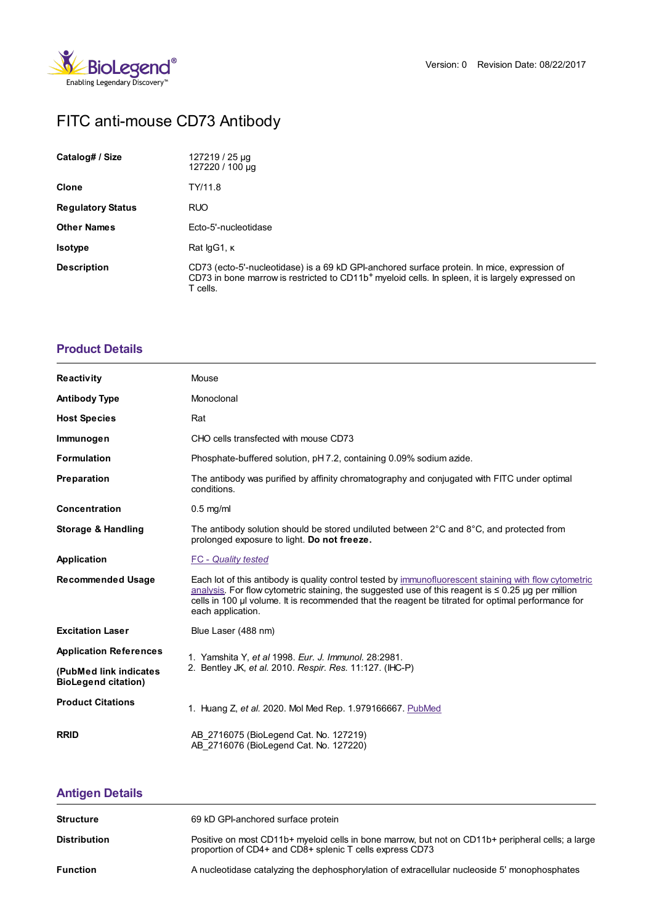

# FITC anti-mouse CD73 Antibody

| Catalog# / Size          | 127219 / 25 µg<br>127220 / 100 µg                                                                                                                                                                                       |  |
|--------------------------|-------------------------------------------------------------------------------------------------------------------------------------------------------------------------------------------------------------------------|--|
| <b>Clone</b>             | TY/11.8                                                                                                                                                                                                                 |  |
| <b>Regulatory Status</b> | <b>RUO</b>                                                                                                                                                                                                              |  |
| <b>Other Names</b>       | Ecto-5'-nucleotidase                                                                                                                                                                                                    |  |
| <b>Isotype</b>           | Rat lgG1, K                                                                                                                                                                                                             |  |
| <b>Description</b>       | CD73 (ecto-5'-nucleotidase) is a 69 kD GPI-anchored surface protein. In mice, expression of<br>CD73 in bone marrow is restricted to CD11b <sup>+</sup> myeloid cells. In spleen, it is largely expressed on<br>T cells. |  |

### **[Product](https://www.biolegend.com/en-gb/products/fitc-anti-mouse-cd73-antibody-14809?pdf=true&displayInline=true&leftRightMargin=15&topBottomMargin=15&filename=FITC anti-mouse CD73 Antibody.pdf#productDetails) Details**

| <b>Reactivity</b>                                    | Mouse                                                                                                                                                                                                                                                                                                                                        |  |
|------------------------------------------------------|----------------------------------------------------------------------------------------------------------------------------------------------------------------------------------------------------------------------------------------------------------------------------------------------------------------------------------------------|--|
| <b>Antibody Type</b>                                 | Monoclonal                                                                                                                                                                                                                                                                                                                                   |  |
| <b>Host Species</b>                                  | Rat                                                                                                                                                                                                                                                                                                                                          |  |
| Immunogen                                            | CHO cells transfected with mouse CD73                                                                                                                                                                                                                                                                                                        |  |
| <b>Formulation</b>                                   | Phosphate-buffered solution, pH 7.2, containing 0.09% sodium azide.                                                                                                                                                                                                                                                                          |  |
| <b>Preparation</b>                                   | The antibody was purified by affinity chromatography and conjugated with FITC under optimal<br>conditions.                                                                                                                                                                                                                                   |  |
| <b>Concentration</b>                                 | $0.5$ mg/ml                                                                                                                                                                                                                                                                                                                                  |  |
| <b>Storage &amp; Handling</b>                        | The antibody solution should be stored undiluted between $2^{\circ}$ C and $8^{\circ}$ C, and protected from<br>prolonged exposure to light. Do not freeze.                                                                                                                                                                                  |  |
| Application                                          | <b>FC</b> - Quality tested                                                                                                                                                                                                                                                                                                                   |  |
| <b>Recommended Usage</b>                             | Each lot of this antibody is quality control tested by immunofluorescent staining with flow cytometric<br>analysis. For flow cytometric staining, the suggested use of this reagent is $\leq 0.25$ ug per million<br>cells in 100 µl volume. It is recommended that the reagent be titrated for optimal performance for<br>each application. |  |
| <b>Excitation Laser</b>                              | Blue Laser (488 nm)                                                                                                                                                                                                                                                                                                                          |  |
| <b>Application References</b>                        | 1. Yamshita Y, et al 1998. Eur. J. Immunol. 28:2981.                                                                                                                                                                                                                                                                                         |  |
| (PubMed link indicates<br><b>BioLegend citation)</b> | 2. Bentley JK, et al. 2010. Respir. Res. 11:127. (IHC-P)                                                                                                                                                                                                                                                                                     |  |
| <b>Product Citations</b>                             | 1. Huang Z, et al. 2020. Mol Med Rep. 1.979166667. PubMed                                                                                                                                                                                                                                                                                    |  |
| <b>RRID</b>                                          | AB 2716075 (BioLegend Cat. No. 127219)<br>AB 2716076 (BioLegend Cat. No. 127220)                                                                                                                                                                                                                                                             |  |

## **[Antigen](https://www.biolegend.com/en-gb/products/fitc-anti-mouse-cd73-antibody-14809?pdf=true&displayInline=true&leftRightMargin=15&topBottomMargin=15&filename=FITC anti-mouse CD73 Antibody.pdf#antigenDetails) Details**

| <b>Structure</b>    | 69 kD GPI-anchored surface protein                                                                                                                            |
|---------------------|---------------------------------------------------------------------------------------------------------------------------------------------------------------|
| <b>Distribution</b> | Positive on most CD11b+ myeloid cells in bone marrow, but not on CD11b+ peripheral cells; a large<br>proportion of CD4+ and CD8+ splenic T cells express CD73 |
| <b>Function</b>     | A nucleotidase catalyzing the dephosphorylation of extracellular nucleoside 5' monophosphates                                                                 |